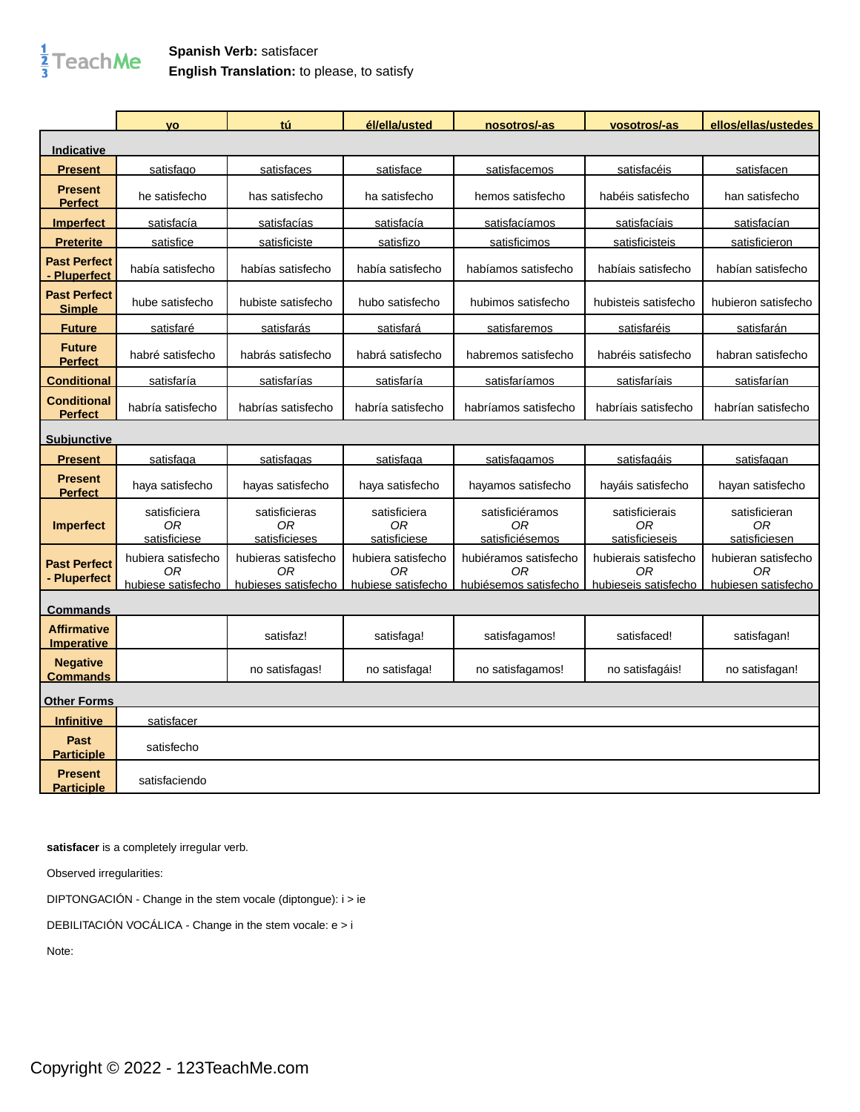

## **Spanish Verb:** satisfacer **English Translation:** to please, to satisfy

|                                         | <b>VO</b>                                      | tú                                               | él/ella/usted                                  | nosotros/-as                                         | vosotros/-as                                       | ellos/ellas/ustedes                              |
|-----------------------------------------|------------------------------------------------|--------------------------------------------------|------------------------------------------------|------------------------------------------------------|----------------------------------------------------|--------------------------------------------------|
| <b>Indicative</b>                       |                                                |                                                  |                                                |                                                      |                                                    |                                                  |
| <u>Present</u>                          | satisfago                                      | satisfaces                                       | satisface                                      | satisfacemos                                         | satisfacéis                                        | satisfacen                                       |
| <b>Present</b><br><b>Perfect</b>        | he satisfecho                                  | has satisfecho                                   | ha satisfecho                                  | hemos satisfecho                                     | habéis satisfecho                                  | han satisfecho                                   |
| <b>Imperfect</b>                        | satisfacía                                     | satisfacías                                      | satisfacía                                     | satisfacíamos                                        | satisfacíais                                       | satisfacían                                      |
| <b>Preterite</b>                        | satisfice                                      | satisficiste                                     | satisfizo                                      | satisficimos                                         | satisficisteis                                     | satisficieron                                    |
| <b>Past Perfect</b><br>- Pluperfect     | había satisfecho                               | habías satisfecho                                | había satisfecho                               | habíamos satisfecho                                  | habíais satisfecho                                 | habían satisfecho                                |
| <b>Past Perfect</b><br><b>Simple</b>    | hube satisfecho                                | hubiste satisfecho                               | hubo satisfecho                                | hubimos satisfecho                                   | hubisteis satisfecho                               | hubieron satisfecho                              |
| <b>Future</b>                           | satisfaré                                      | satisfarás                                       | satisfará                                      | satisfaremos                                         | satisfaréis                                        | satisfarán                                       |
| <b>Future</b><br><b>Perfect</b>         | habré satisfecho                               | habrás satisfecho                                | habrá satisfecho                               | habremos satisfecho                                  | habréis satisfecho                                 | habran satisfecho                                |
| <b>Conditional</b>                      | satisfaría                                     | satisfarías                                      | satisfaría                                     | satisfaríamos                                        | satisfaríais                                       | satisfarían                                      |
| <b>Conditional</b><br><b>Perfect</b>    | habría satisfecho                              | habrías satisfecho                               | habría satisfecho                              | habríamos satisfecho                                 | habríais satisfecho                                | habrían satisfecho                               |
| <b>Subjunctive</b>                      |                                                |                                                  |                                                |                                                      |                                                    |                                                  |
| <b>Present</b>                          | satisfaga                                      | satisfagas                                       | satisfaga                                      | satisfagamos                                         | satisfagáis                                        | satisfagan                                       |
| <b>Present</b><br><b>Perfect</b>        | haya satisfecho                                | hayas satisfecho                                 | haya satisfecho                                | hayamos satisfecho                                   | hayáis satisfecho                                  | hayan satisfecho                                 |
| <b>Imperfect</b>                        | satisficiera<br>0R<br>satisficiese             | satisficieras<br>0R<br>satisficieses             | satisficiera<br>0R<br>satisficiese             | satisficiéramos<br>0R<br>satisficiésemos             | satisficierais<br>ΟR<br>satisficieseis             | satisficieran<br>0R<br>satisficiesen             |
| <b>Past Perfect</b><br>- Pluperfect     | hubiera satisfecho<br>0R<br>hubiese satisfecho | hubieras satisfecho<br>0R<br>hubieses satisfecho | hubiera satisfecho<br>ОR<br>hubiese satisfecho | hubiéramos satisfecho<br>0R<br>hubiésemos satisfecho | hubierais satisfecho<br>0R<br>hubieseis satisfecho | hubieran satisfecho<br>0R<br>hubiesen satisfecho |
| <b>Commands</b>                         |                                                |                                                  |                                                |                                                      |                                                    |                                                  |
| <b>Affirmative</b><br><b>Imperative</b> |                                                | satisfaz!                                        | satisfaga!                                     | satisfagamos!                                        | satisfaced!                                        | satisfagan!                                      |
| <b>Negative</b><br><b>Commands</b>      |                                                | no satisfagas!                                   | no satisfaga!                                  | no satisfagamos!                                     | no satisfagáis!                                    | no satisfagan!                                   |
| <b>Other Forms</b>                      |                                                |                                                  |                                                |                                                      |                                                    |                                                  |
| <b>Infinitive</b>                       | satisfacer                                     |                                                  |                                                |                                                      |                                                    |                                                  |
| <b>Past</b><br><b>Participle</b>        | satisfecho                                     |                                                  |                                                |                                                      |                                                    |                                                  |
| <b>Present</b><br><b>Participle</b>     | satisfaciendo                                  |                                                  |                                                |                                                      |                                                    |                                                  |

**satisfacer** is a completely irregular verb.

Observed irregularities:

DIPTONGACIÓN - Change in the stem vocale (diptongue): i > ie

DEBILITACIÓN VOCÁLICA - Change in the stem vocale: e > i

Note: